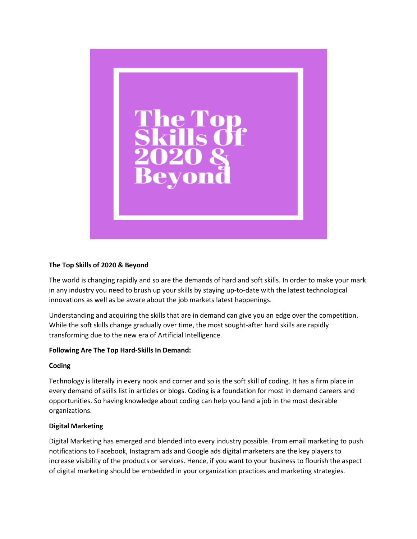

## **The Top Skills of 2020 & Beyond**

The world is changing rapidly and so are the demands of hard and soft skills. In order to make your mark in any industry you need to brush up your skills by staying up-to-date with the latest technological innovations as well as be aware about the job markets latest happenings.

Understanding and acquiring the skills that are in demand can give you an edge over the competition. While the soft skills change gradually over time, the most sought-after hard skills are rapidly transforming due to the new era of Artificial Intelligence.

### **Following Are The Top Hard-Skills In Demand:**

### **Coding**

Technology is literally in every nook and corner and so is the soft skill of coding. It has a firm place in every demand of skills list in articles or blogs. Coding is a foundation for most in demand careers and opportunities. So having knowledge about coding can help you land a job in the most desirable organizations.

### **Digital Marketing**

Digital Marketing has emerged and blended into every industry possible. From email marketing to push notifications to Facebook, Instagram ads and Google ads digital marketers are the key players to increase visibility of the products or services. Hence, if you want to your business to flourish the aspect of digital marketing should be embedded in your organization practices and marketing strategies.